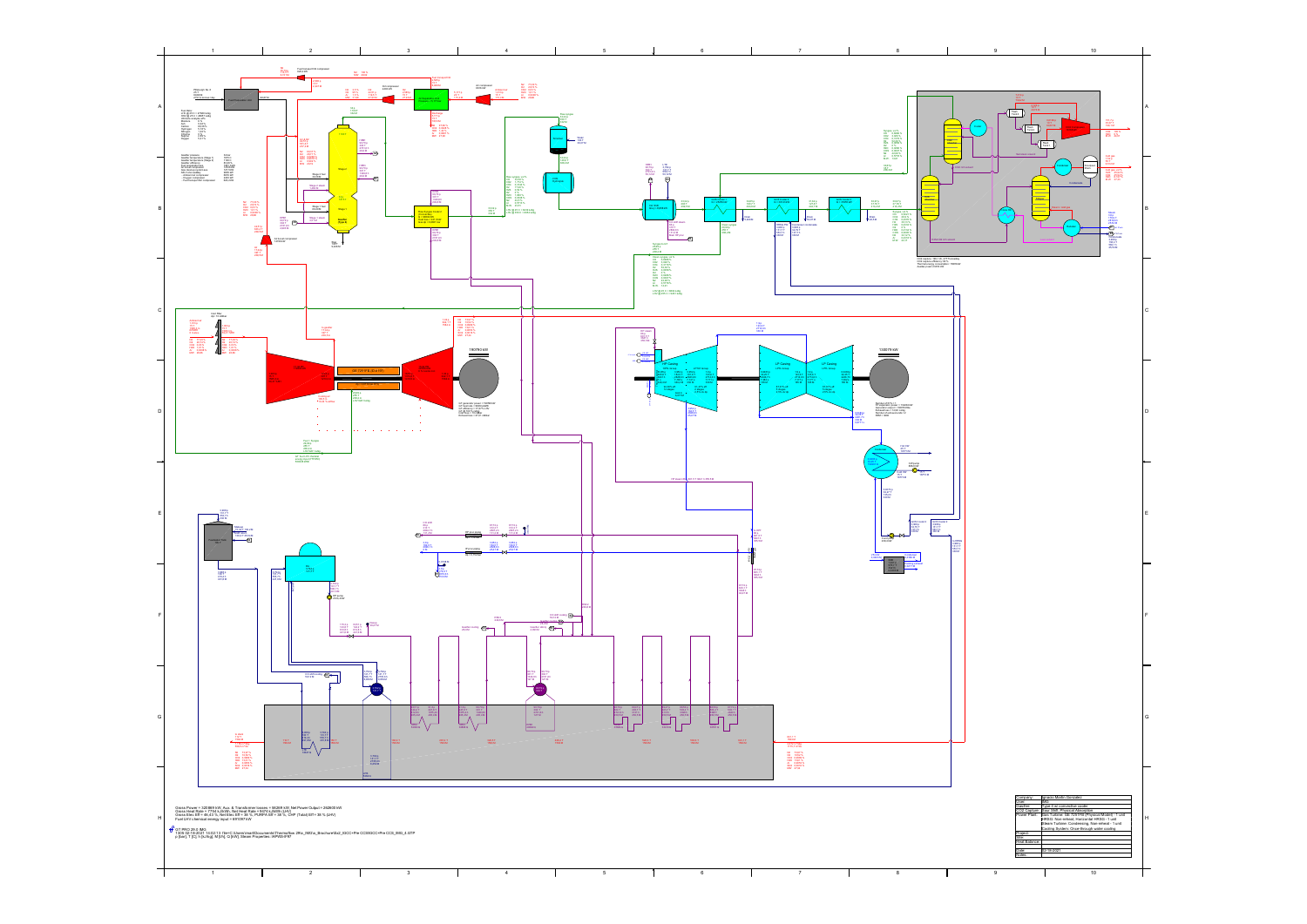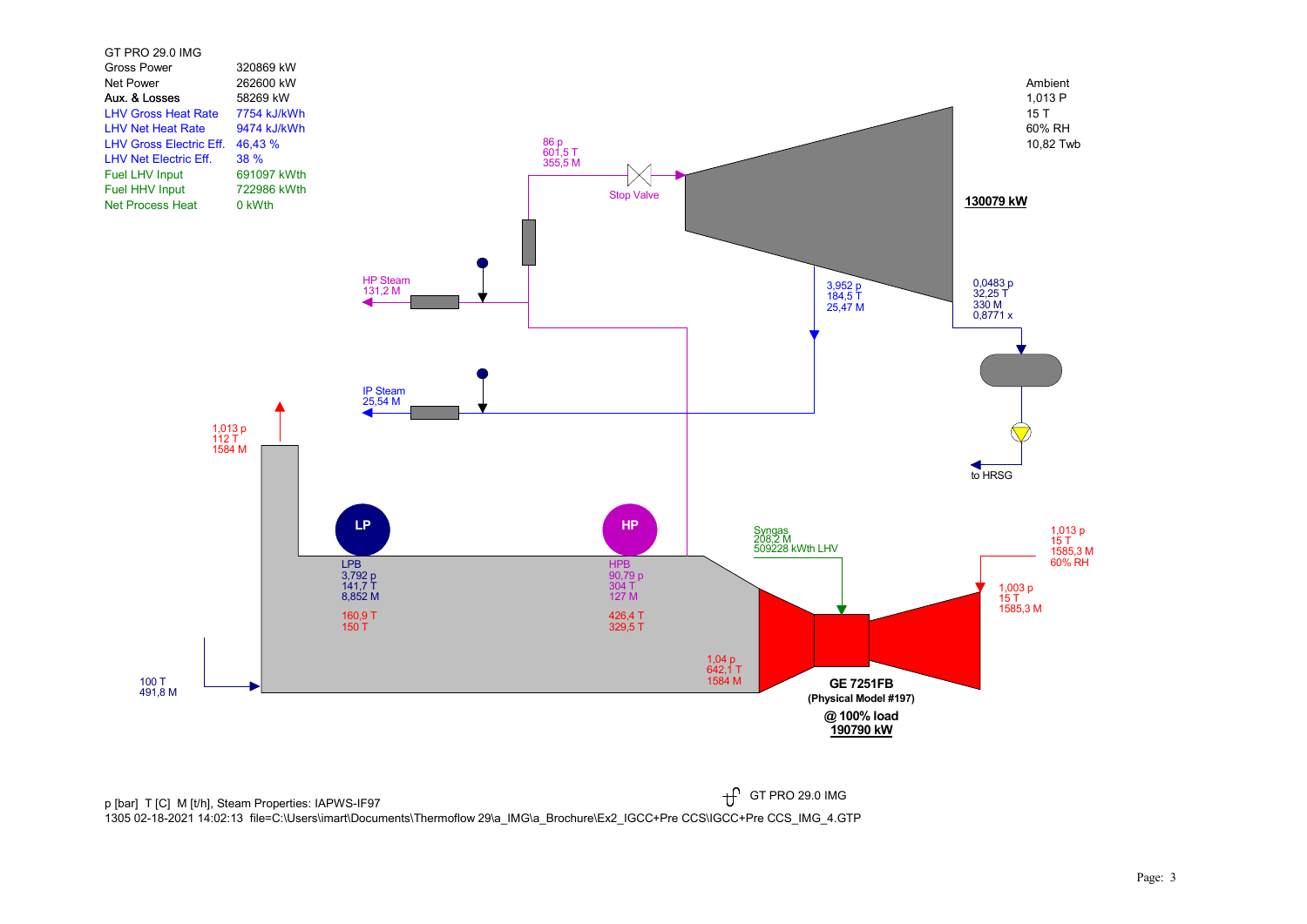

p [bar] T [C] M [t/h], Steam Properties: IAPWS-IF97  $\mathfrak{f}$ 1305 02-18-2021 14:02:13 file=C:\Users\imart\Documents\Thermoflow 29\a\_IMG\a\_Brochure\Ex2\_IGCC+Pre CCS\IGCC+Pre CCS\_IMG\_4.GTP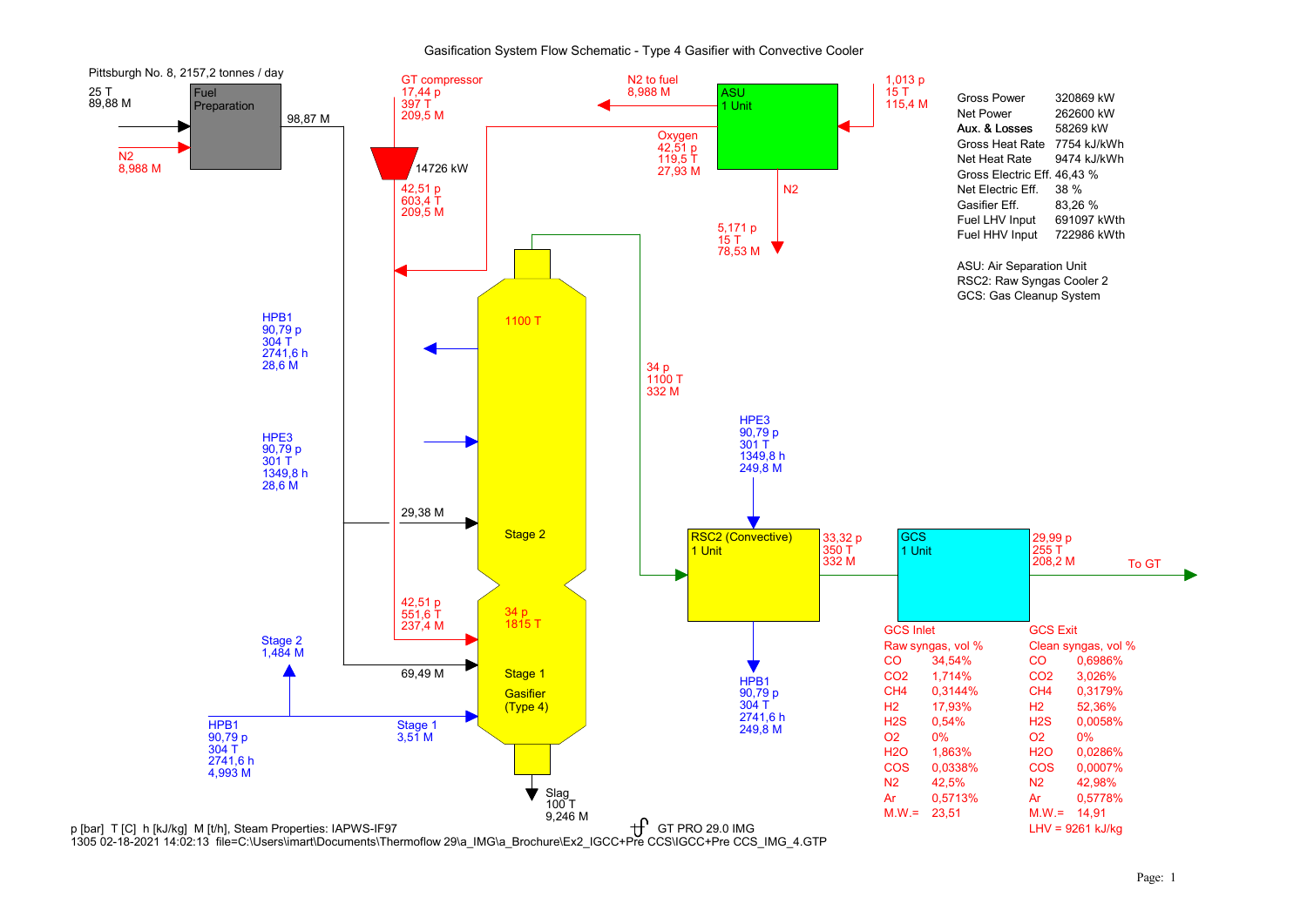## Gasification System Flow Schematic - Type 4 Gasifier with Convective Cooler



1305 02-18-2021 14:02:13 file=C:\Users\imart\Documents\Thermoflow 29\a\_IMG\a\_Brochure\Ex2\_IGCC+Pre CCS\IGCC+Pre CCS\_IMG\_4.GTP